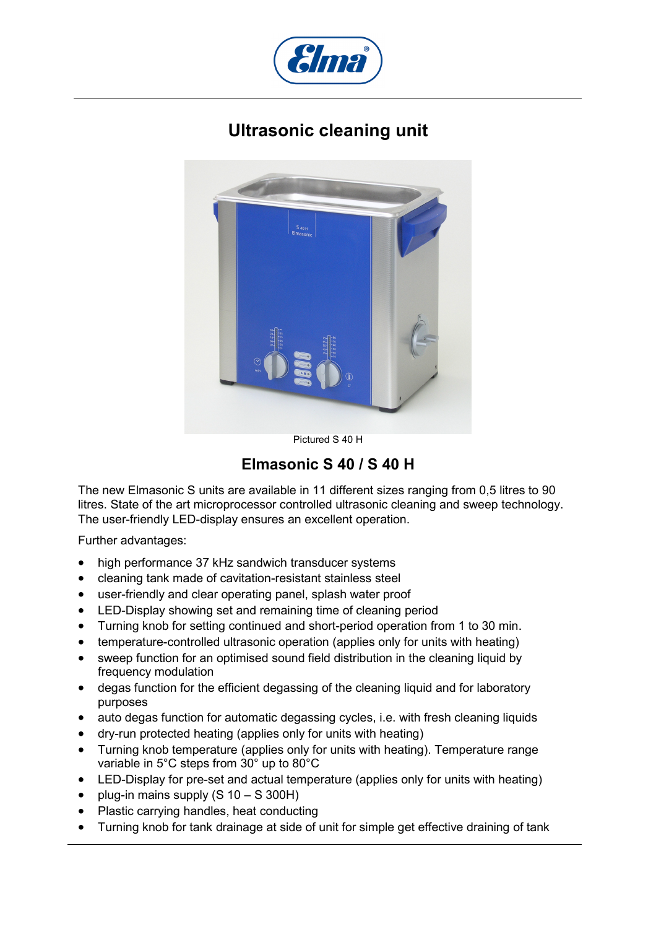

## **Ultrasonic cleaning unit**



Pictured S 40 H

## **Elmasonic S 40 / S 40 H**

The new Elmasonic S units are available in 11 different sizes ranging from 0,5 litres to 90 litres. State of the art microprocessor controlled ultrasonic cleaning and sweep technology. The user-friendly LED-display ensures an excellent operation.

Further advantages:

- high performance 37 kHz sandwich transducer systems
- cleaning tank made of cavitation-resistant stainless steel
- user-friendly and clear operating panel, splash water proof
- LED-Display showing set and remaining time of cleaning period
- Turning knob for setting continued and short-period operation from 1 to 30 min.
- temperature-controlled ultrasonic operation (applies only for units with heating)
- sweep function for an optimised sound field distribution in the cleaning liquid by frequency modulation
- degas function for the efficient degassing of the cleaning liquid and for laboratory purposes
- auto degas function for automatic degassing cycles, i.e. with fresh cleaning liquids
- dry-run protected heating (applies only for units with heating)
- Turning knob temperature (applies only for units with heating). Temperature range variable in 5°C steps from 30° up to 80°C
- LED-Display for pre-set and actual temperature (applies only for units with heating)
- plug-in mains supply  $(S 10 S 300H)$
- Plastic carrying handles, heat conducting
- Turning knob for tank drainage at side of unit for simple get effective draining of tank